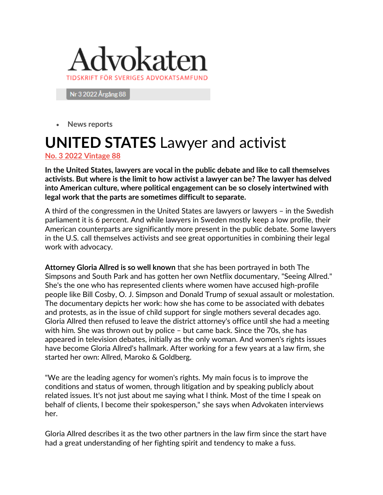

Nr 3 2022 Årgång 88

• **News reports**

## **UNITED STATES** Lawyer and activist

**[No. 3 2022 Vintage 88](https://www.advokaten.se/Tidningsnummer/2022/nr-3-2022-argang-88/)**

**In the United States, lawyers are vocal in the public debate and like to call themselves activists. But where is the limit to how activist a lawyer can be? The lawyer has delved into American culture, where political engagement can be so closely intertwined with legal work that the parts are sometimes difficult to separate.**

A third of the congressmen in the United States are lawyers or lawyers – in the Swedish parliament it is 6 percent. And while lawyers in Sweden mostly keep a low profile, their American counterparts are significantly more present in the public debate. Some lawyers in the U.S. call themselves activists and see great opportunities in combining their legal work with advocacy.

**Attorney Gloria Allred is so well known** that she has been portrayed in both The Simpsons and South Park and has gotten her own Netflix documentary, "Seeing Allred." She's the one who has represented clients where women have accused high-profile people like Bill Cosby, O. J. Simpson and Donald Trump of sexual assault or molestation. The documentary depicts her work: how she has come to be associated with debates and protests, as in the issue of child support for single mothers several decades ago. Gloria Allred then refused to leave the district attorney's office until she had a meeting with him. She was thrown out by police – but came back. Since the 70s, she has appeared in television debates, initially as the only woman. And women's rights issues have become Gloria Allred's hallmark. After working for a few years at a law firm, she started her own: Allred, Maroko & Goldberg.

"We are the leading agency for women's rights. My main focus is to improve the conditions and status of women, through litigation and by speaking publicly about related issues. It's not just about me saying what I think. Most of the time I speak on behalf of clients, I become their spokesperson," she says when Advokaten interviews her.

Gloria Allred describes it as the two other partners in the law firm since the start have had a great understanding of her fighting spirit and tendency to make a fuss.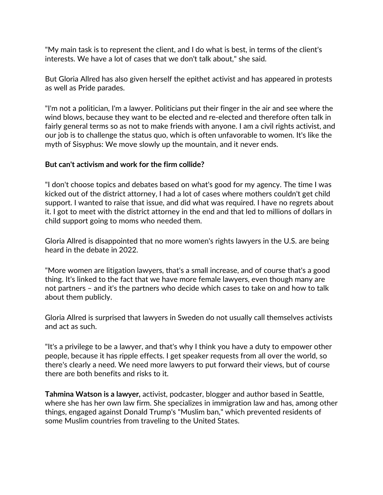"My main task is to represent the client, and I do what is best, in terms of the client's interests. We have a lot of cases that we don't talk about," she said.

But Gloria Allred has also given herself the epithet activist and has appeared in protests as well as Pride parades.

"I'm not a politician, I'm a lawyer. Politicians put their finger in the air and see where the wind blows, because they want to be elected and re-elected and therefore often talk in fairly general terms so as not to make friends with anyone. I am a civil rights activist, and our job is to challenge the status quo, which is often unfavorable to women. It's like the myth of Sisyphus: We move slowly up the mountain, and it never ends.

## **But can't activism and work for the firm collide?**

"I don't choose topics and debates based on what's good for my agency. The time I was kicked out of the district attorney, I had a lot of cases where mothers couldn't get child support. I wanted to raise that issue, and did what was required. I have no regrets about it. I got to meet with the district attorney in the end and that led to millions of dollars in child support going to moms who needed them.

Gloria Allred is disappointed that no more women's rights lawyers in the U.S. are being heard in the debate in 2022.

"More women are litigation lawyers, that's a small increase, and of course that's a good thing. It's linked to the fact that we have more female lawyers, even though many are not partners – and it's the partners who decide which cases to take on and how to talk about them publicly.

Gloria Allred is surprised that lawyers in Sweden do not usually call themselves activists and act as such.

"It's a privilege to be a lawyer, and that's why I think you have a duty to empower other people, because it has ripple effects. I get speaker requests from all over the world, so there's clearly a need. We need more lawyers to put forward their views, but of course there are both benefits and risks to it.

**Tahmina Watson is a lawyer,** activist, podcaster, blogger and author based in Seattle, where she has her own law firm. She specializes in immigration law and has, among other things, engaged against Donald Trump's "Muslim ban," which prevented residents of some Muslim countries from traveling to the United States.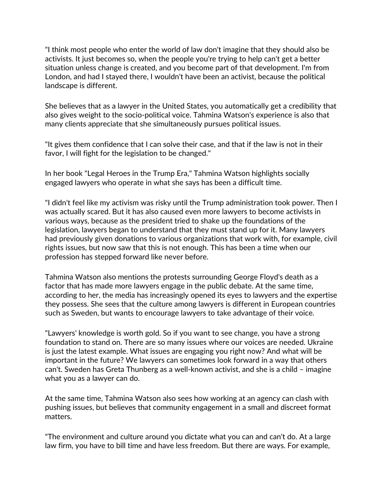"I think most people who enter the world of law don't imagine that they should also be activists. It just becomes so, when the people you're trying to help can't get a better situation unless change is created, and you become part of that development. I'm from London, and had I stayed there, I wouldn't have been an activist, because the political landscape is different.

She believes that as a lawyer in the United States, you automatically get a credibility that also gives weight to the socio-political voice. Tahmina Watson's experience is also that many clients appreciate that she simultaneously pursues political issues.

"It gives them confidence that I can solve their case, and that if the law is not in their favor, I will fight for the legislation to be changed."

In her book "Legal Heroes in the Trump Era," Tahmina Watson highlights socially engaged lawyers who operate in what she says has been a difficult time.

"I didn't feel like my activism was risky until the Trump administration took power. Then I was actually scared. But it has also caused even more lawyers to become activists in various ways, because as the president tried to shake up the foundations of the legislation, lawyers began to understand that they must stand up for it. Many lawyers had previously given donations to various organizations that work with, for example, civil rights issues, but now saw that this is not enough. This has been a time when our profession has stepped forward like never before.

Tahmina Watson also mentions the protests surrounding George Floyd's death as a factor that has made more lawyers engage in the public debate. At the same time, according to her, the media has increasingly opened its eyes to lawyers and the expertise they possess. She sees that the culture among lawyers is different in European countries such as Sweden, but wants to encourage lawyers to take advantage of their voice.

"Lawyers' knowledge is worth gold. So if you want to see change, you have a strong foundation to stand on. There are so many issues where our voices are needed. Ukraine is just the latest example. What issues are engaging you right now? And what will be important in the future? We lawyers can sometimes look forward in a way that others can't. Sweden has Greta Thunberg as a well-known activist, and she is a child – imagine what you as a lawyer can do.

At the same time, Tahmina Watson also sees how working at an agency can clash with pushing issues, but believes that community engagement in a small and discreet format matters.

"The environment and culture around you dictate what you can and can't do. At a large law firm, you have to bill time and have less freedom. But there are ways. For example,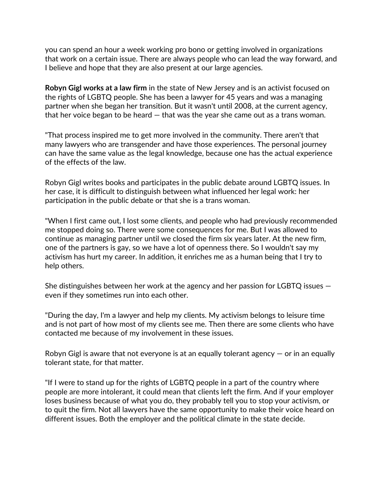you can spend an hour a week working pro bono or getting involved in organizations that work on a certain issue. There are always people who can lead the way forward, and I believe and hope that they are also present at our large agencies.

**Robyn Gigl works at a law firm** in the state of New Jersey and is an activist focused on the rights of LGBTQ people. She has been a lawyer for 45 years and was a managing partner when she began her transition. But it wasn't until 2008, at the current agency, that her voice began to be heard — that was the year she came out as a trans woman.

"That process inspired me to get more involved in the community. There aren't that many lawyers who are transgender and have those experiences. The personal journey can have the same value as the legal knowledge, because one has the actual experience of the effects of the law.

Robyn Gigl writes books and participates in the public debate around LGBTQ issues. In her case, it is difficult to distinguish between what influenced her legal work: her participation in the public debate or that she is a trans woman.

"When I first came out, I lost some clients, and people who had previously recommended me stopped doing so. There were some consequences for me. But I was allowed to continue as managing partner until we closed the firm six years later. At the new firm, one of the partners is gay, so we have a lot of openness there. So I wouldn't say my activism has hurt my career. In addition, it enriches me as a human being that I try to help others.

She distinguishes between her work at the agency and her passion for LGBTQ issues even if they sometimes run into each other.

"During the day, I'm a lawyer and help my clients. My activism belongs to leisure time and is not part of how most of my clients see me. Then there are some clients who have contacted me because of my involvement in these issues.

Robyn Gigl is aware that not everyone is at an equally tolerant agency  $-$  or in an equally tolerant state, for that matter.

"If I were to stand up for the rights of LGBTQ people in a part of the country where people are more intolerant, it could mean that clients left the firm. And if your employer loses business because of what you do, they probably tell you to stop your activism, or to quit the firm. Not all lawyers have the same opportunity to make their voice heard on different issues. Both the employer and the political climate in the state decide.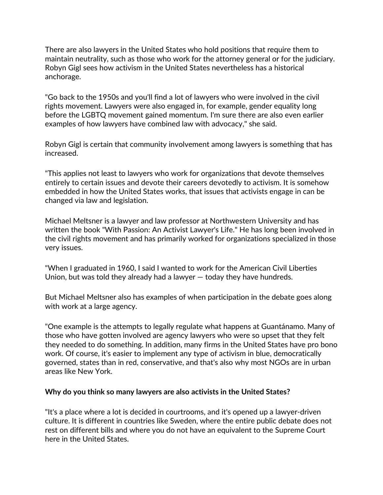There are also lawyers in the United States who hold positions that require them to maintain neutrality, such as those who work for the attorney general or for the judiciary. Robyn Gigl sees how activism in the United States nevertheless has a historical anchorage.

"Go back to the 1950s and you'll find a lot of lawyers who were involved in the civil rights movement. Lawyers were also engaged in, for example, gender equality long before the LGBTQ movement gained momentum. I'm sure there are also even earlier examples of how lawyers have combined law with advocacy," she said.

Robyn Gigl is certain that community involvement among lawyers is something that has increased.

"This applies not least to lawyers who work for organizations that devote themselves entirely to certain issues and devote their careers devotedly to activism. It is somehow embedded in how the United States works, that issues that activists engage in can be changed via law and legislation.

Michael Meltsner is a lawyer and law professor at Northwestern University and has written the book "With Passion: An Activist Lawyer's Life." He has long been involved in the civil rights movement and has primarily worked for organizations specialized in those very issues.

"When I graduated in 1960, I said I wanted to work for the American Civil Liberties Union, but was told they already had a lawyer — today they have hundreds.

But Michael Meltsner also has examples of when participation in the debate goes along with work at a large agency.

"One example is the attempts to legally regulate what happens at Guantánamo. Many of those who have gotten involved are agency lawyers who were so upset that they felt they needed to do something. In addition, many firms in the United States have pro bono work. Of course, it's easier to implement any type of activism in blue, democratically governed, states than in red, conservative, and that's also why most NGOs are in urban areas like New York.

## **Why do you think so many lawyers are also activists in the United States?**

"It's a place where a lot is decided in courtrooms, and it's opened up a lawyer-driven culture. It is different in countries like Sweden, where the entire public debate does not rest on different bills and where you do not have an equivalent to the Supreme Court here in the United States.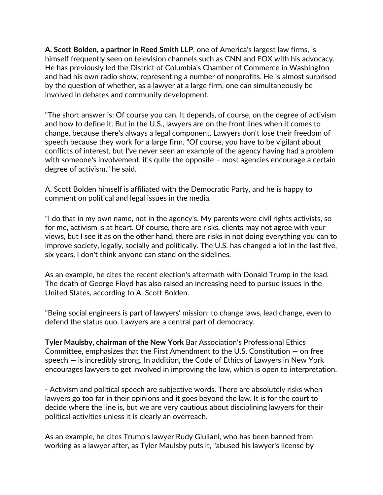**A. Scott Bolden, a partner in Reed Smith LLP**, one of America's largest law firms, is himself frequently seen on television channels such as CNN and FOX with his advocacy. He has previously led the District of Columbia's Chamber of Commerce in Washington and had his own radio show, representing a number of nonprofits. He is almost surprised by the question of whether, as a lawyer at a large firm, one can simultaneously be involved in debates and community development.

"The short answer is: Of course you can. It depends, of course, on the degree of activism and how to define it. But in the U.S., lawyers are on the front lines when it comes to change, because there's always a legal component. Lawyers don't lose their freedom of speech because they work for a large firm. "Of course, you have to be vigilant about conflicts of interest, but I've never seen an example of the agency having had a problem with someone's involvement, it's quite the opposite – most agencies encourage a certain degree of activism," he said.

A. Scott Bolden himself is affiliated with the Democratic Party, and he is happy to comment on political and legal issues in the media.

"I do that in my own name, not in the agency's. My parents were civil rights activists, so for me, activism is at heart. Of course, there are risks, clients may not agree with your views, but I see it as on the other hand, there are risks in not doing everything you can to improve society, legally, socially and politically. The U.S. has changed a lot in the last five, six years, I don't think anyone can stand on the sidelines.

As an example, he cites the recent election's aftermath with Donald Trump in the lead. The death of George Floyd has also raised an increasing need to pursue issues in the United States, according to A. Scott Bolden.

"Being social engineers is part of lawyers' mission: to change laws, lead change, even to defend the status quo. Lawyers are a central part of democracy.

**Tyler Maulsby, chairman of the New York** Bar Association's Professional Ethics Committee, emphasizes that the First Amendment to the U.S. Constitution — on free speech — is incredibly strong. In addition, the Code of Ethics of Lawyers in New York encourages lawyers to get involved in improving the law, which is open to interpretation.

- Activism and political speech are subjective words. There are absolutely risks when lawyers go too far in their opinions and it goes beyond the law. It is for the court to decide where the line is, but we are very cautious about disciplining lawyers for their political activities unless it is clearly an overreach.

As an example, he cites Trump's lawyer Rudy Giuliani, who has been banned from working as a lawyer after, as Tyler Maulsby puts it, "abused his lawyer's license by